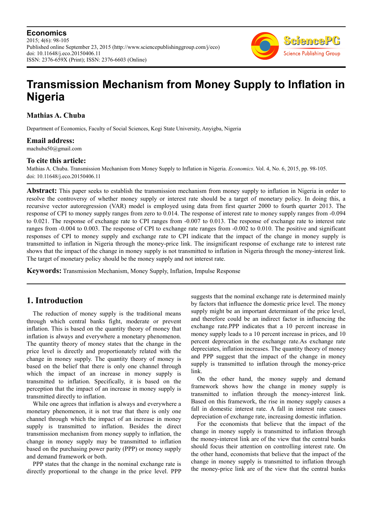**Economics** 2015; 4(6): 98-105 Published online September 23, 2015 (http://www.sciencepublishinggroup.com/j/eco) doi: 10.11648/j.eco.20150406.11 ISSN: 2376-659X (Print); ISSN: 2376-6603 (Online)



# **Transmission Mechanism from Money Supply to Inflation in Nigeria**

**Mathias A. Chuba** 

Department of Economics, Faculty of Social Sciences, Kogi State University, Anyigba, Nigeria

# **Email address:**

machuba50@gmail.com

# **To cite this article:**

Mathias A. Chuba. Transmission Mechanism from Money Supply to Inflation in Nigeria. *Economics*. Vol. 4, No. 6, 2015, pp. 98-105. doi: 10.11648/j.eco.20150406.11

**Abstract:** This paper seeks to establish the transmission mechanism from money supply to inflation in Nigeria in order to resolve the controversy of whether money supply or interest rate should be a target of monetary policy. In doing this, a recursive vector autoregression (VAR) model is employed using data from first quarter 2000 to fourth quarter 2013. The response of CPI to money supply ranges from zero to 0.014. The response of interest rate to money supply ranges from -0.094 to 0.021. The response of exchange rate to CPI ranges from -0.007 to 0.013. The response of exchange rate to interest rate ranges from -0.004 to 0.003. The response of CPI to exchange rate ranges from -0.002 to 0.010. The positive and significant responses of CPI to money supply and exchange rate to CPI indicate that the impact of the change in money supply is transmitted to inflation in Nigeria through the money-price link. The insignificant response of exchange rate to interest rate shows that the impact of the change in money supply is not transmitted to inflation in Nigeria through the money-interest link. The target of monetary policy should be the money supply and not interest rate.

**Keywords:** Transmission Mechanism, Money Supply, Inflation, Impulse Response

# **1. Introduction**

The reduction of money supply is the traditional means through which central banks fight, moderate or prevent inflation. This is based on the quantity theory of money that inflation is always and everywhere a monetary phenomenon. The quantity theory of money states that the change in the price level is directly and proportionately related with the change in money supply. The quantity theory of money is based on the belief that there is only one channel through which the impact of an increase in money supply is transmitted to inflation. Specifically, it is based on the perception that the impact of an increase in money supply is transmitted directly to inflation.

While one agrees that inflation is always and everywhere a monetary phenomenon, it is not true that there is only one channel through which the impact of an increase in money supply is transmitted to inflation. Besides the direct transmission mechanism from money supply to inflation, the change in money supply may be transmitted to inflation based on the purchasing power parity (PPP) or money supply and demand framework or both.

PPP states that the change in the nominal exchange rate is directly proportional to the change in the price level. PPP suggests that the nominal exchange rate is determined mainly by factors that influence the domestic price level. The money supply might be an important determinant of the price level, and therefore could be an indirect factor in influencing the exchange rate.PPP indicates that a 10 percent increase in money supply leads to a 10 percent increase in prices, and 10 percent deprecation in the exchange rate.As exchange rate depreciates, inflation increases. The quantity theory of money and PPP suggest that the impact of the change in money supply is transmitted to inflation through the money-price link.

On the other hand, the money supply and demand framework shows how the change in money supply is transmitted to inflation through the money-interest link. Based on this framework, the rise in money supply causes a fall in domestic interest rate. A fall in interest rate causes depreciation of exchange rate, increasing domestic inflation.

For the economists that believe that the impact of the change in money supply is transmitted to inflation through the money-interest link are of the view that the central banks should focus their attention on controlling interest rate. On the other hand, economists that believe that the impact of the change in money supply is transmitted to inflation through the money-price link are of the view that the central banks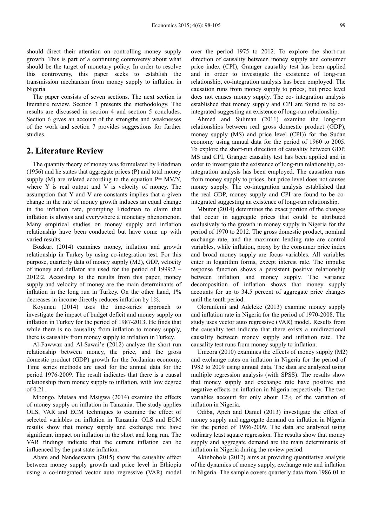should direct their attention on controlling money supply growth. This is part of a continuing controversy about what should be the target of monetary policy. In order to resolve this controversy, this paper seeks to establish the transmission mechanism from money supply to inflation in Nigeria.

The paper consists of seven sections. The next section is literature review. Section 3 presents the methodology. The results are discussed in section 4 and section 5 concludes. Section 6 gives an account of the strengths and weaknesses of the work and section 7 provides suggestions for further studies.

# **2. Literature Review**

The quantity theory of money was formulated by Friedman (1956) and he states that aggregate prices (P) and total money supply (M) are related according to the equation  $P= MV/Y$ , where Y is real output and V is velocity of money. The assumption that Y and V are constants implies that a given change in the rate of money growth induces an equal change in the inflation rate, prompting Friedman to claim that inflation is always and everywhere a monetary phenomenon. Many empirical studies on money supply and inflation relationship have been conducted but have come up with varied results.

Bozkurt (2014) examines money, inflation and growth relationship in Turkey by using co-integration test. For this purpose, quarterly data of money supply (M2), GDP, velocity of money and deflator are used for the period of 1999:2 – 2012:2. According to the results from this paper, money supply and velocity of money are the main determinants of inflation in the long run in Turkey. On the other hand, 1% decreases in income directly reduces inflation by 1%.

Koyuncu (2014) uses the time-series approach to investigate the impact of budget deficit and money supply on inflation in Turkey for the period of 1987-2013. He finds that while there is no causality from inflation to money supply, there is causality from money supply to inflation in Turkey.

Al-Fawwaz and Al-Sawai'e (2012) analyze the short run relationship between money, the price, and the gross domestic product (GDP) growth for the Jordanian economy. Time series methods are used for the annual data for the period 1976-2009. The result indicates that there is a causal relationship from money supply to inflation, with low degree of 0.21.

Mbongo, Mutasa and Msigwa (2014) examine the effects of money supply on inflation in Tanzania. The study applies OLS, VAR and ECM techniques to examine the effect of selected variables on inflation in Tanzania. OLS and ECM results show that money supply and exchange rate have significant impact on inflation in the short and long run. The VAR findings indicate that the current inflation can be influenced by the past state inflation.

Abate and Nandeeswara (2015) show the causality effect between money supply growth and price level in Ethiopia using a co-integrated vector auto regressive (VAR) model over the period 1975 to 2012. To explore the short-run direction of causality between money supply and consumer price index (CPI), Granger causality test has been applied and in order to investigate the existence of long-run relationship, co-integration analysis has been employed. The causation runs from money supply to prices, but price level does not causes money supply. The co- integration analysis established that money supply and CPI are found to be cointegrated suggesting an existence of long-run relationship.

Ahmed and Suliman (2011) examine the long-run relationships between real gross domestic product (GDP), money supply (MS) and price level (CPI)) for the Sudan economy using annual data for the period of 1960 to 2005. To explore the short-run direction of causality between GDP, MS and CPI, Granger causality test has been applied and in order to investigate the existence of long-run relationship, cointegration analysis has been employed. The causation runs from money supply to prices, but price level does not causes money supply. The co-integration analysis established that the real GDP, money supply and CPI are found to be cointegrated suggesting an existence of long-run relationship.

Mbutor (2014) determines the exact portion of the changes that occur in aggregate prices that could be attributed exclusively to the growth in money supply in Nigeria for the period of 1970 to 2012. The gross domestic product, nominal exchange rate, and the maximum lending rate are control variables, while inflation, proxy by the consumer price index and broad money supply are focus variables. All variables enter in logarithm forms, except interest rate. The impulse response function shows a persistent positive relationship between inflation and money supply. The variance decomposition of inflation shows that money supply accounts for up to 34.5 percent of aggregate price changes until the tenth period.

Olorunfemi and Adeleke (2013) examine money supply and inflation rate in Nigeria for the period of 1970-2008. The study uses vector auto regressive (VAR) model. Results from the causality test indicate that there exists a unidirectional causality between money supply and inflation rate. The causality test runs from money supply to inflation.

Umeora (2010) examines the effects of money supply (M2) and exchange rates on inflation in Nigeria for the period of 1982 to 2009 using annual data. The data are analyzed using multiple regression analysis (with SPSS). The results show that money supply and exchange rate have positive and negative effects on inflation in Nigeria respectively. The two variables account for only about 12% of the variation of inflation in Nigeria.

Odiba, Apeh and Daniel (2013) investigate the effect of money supply and aggregate demand on inflation in Nigeria for the period of 1986-2009. The data are analyzed using ordinary least square regression. The results show that money supply and aggregate demand are the main determinants of inflation in Nigeria during the review period.

Akinbobola (2012) aims at providing quantitative analysis of the dynamics of money supply, exchange rate and inflation in Nigeria. The sample covers quarterly data from 1986:01 to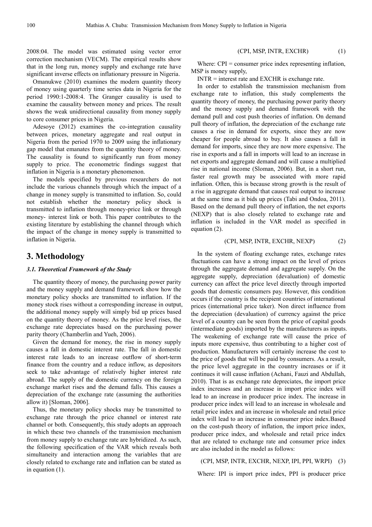2008:04. The model was estimated using vector error correction mechanism (VECM). The empirical results show that in the long run, money supply and exchange rate have significant inverse effects on inflationary pressure in Nigeria.

Omanukwe (2010) examines the modern quantity theory of money using quarterly time series data in Nigeria for the period 1990:1-2008:4. The Granger causality is used to examine the causality between money and prices. The result shows the weak unidirectional causality from money supply to core consumer prices in Nigeria.

Adesoye (2012) examines the co-integration causality between prices, monetary aggregate and real output in Nigeria from the period 1970 to 2009 using the inflationary gap model that emanates from the quantity theory of money. The causality is found to significantly run from money supply to price. The econometric findings suggest that inflation in Nigeria is a monetary phenomenon.

The models specified by previous researchers do not include the various channels through which the impact of a change in money supply is transmitted to inflation. So, could not establish whether the monetary policy shock is transmitted to inflation through money-price link or through money- interest link or both. This paper contributes to the existing literature by establishing the channel through which the impact of the change in money supply is transmitted to inflation in Nigeria.

# **3. Methodology**

#### *3.1. Theoretical Framework of the Study*

The quantity theory of money, the purchasing power parity and the money supply and demand framework show how the monetary policy shocks are transmitted to inflation. If the money stock rises without a corresponding increase in output, the additional money supply will simply bid up prices based on the quantity theory of money. As the price level rises, the exchange rate depreciates based on the purchasing power parity theory (Chamberlin and Yueh, 2006).

Given the demand for money, the rise in money supply causes a fall in domestic interest rate. The fall in domestic interest rate leads to an increase outflow of short-term finance from the country and a reduce inflow, as depositors seek to take advantage of relatively higher interest rate abroad. The supply of the domestic currency on the foreign exchange market rises and the demand falls. This causes a depreciation of the exchange rate (assuming the authorities allow it) [Sloman, 2006].

Thus, the monetary policy shocks may be transmitted to exchange rate through the price channel or interest rate channel or both. Consequently, this study adopts an approach in which these two channels of the transmission mechanism from money supply to exchange rate are hybridized. As such, the following specification of the VAR which reveals both simultaneity and interaction among the variables that are closely related to exchange rate and inflation can be stated as in equation (1).

#### (CPI, MSP, INTR, EXCHR) (1)

Where: CPI = consumer price index representing inflation, MSP is money supply,

INTR = interest rate and EXCHR is exchange rate.

In order to establish the transmission mechanism from exchange rate to inflation, this study complements the quantity theory of money, the purchasing power parity theory and the money supply and demand framework with the demand pull and cost push theories of inflation. On demand pull theory of inflation, the depreciation of the exchange rate causes a rise in demand for exports, since they are now cheaper for people abroad to buy. It also causes a fall in demand for imports, since they are now more expensive. The rise in exports and a fall in imports will lead to an increase in net exports and aggregate demand and will cause a multiplied rise in national income (Sloman, 2006). But, in a short run, faster real growth may be associated with more rapid inflation. Often, this is because strong growth is the result of a rise in aggregate demand that causes real output to increase at the same time as it bids up prices (Tabi and Ondoa, 2011). Based on the demand pull theory of inflation, the net exports (NEXP) that is also closely related to exchange rate and inflation is included in the VAR model as specified in equation (2).

#### (CPI, MSP, INTR, EXCHR, NEXP) (2)

In the system of floating exchange rates, exchange rates fluctuations can have a strong impact on the level of prices through the aggregate demand and aggregate supply. On the aggregate supply, depreciation (devaluation) of domestic currency can affect the price level directly through imported goods that domestic consumers pay. However, this condition occurs if the country is the recipient countries of international prices (international price taker). Non direct influence from the depreciation (devaluation) of currency against the price level of a country can be seen from the price of capital goods (intermediate goods) imported by the manufacturers as inputs. The weakening of exchange rate will cause the price of inputs more expensive, thus contributing to a higher cost of production. Manufacturers will certainly increase the cost to the price of goods that will be paid by consumers. As a result, the price level aggregate in the country increases or if it continues it will cause inflation (Achani, Fauzi and Abdullah, 2010). That is as exchange rate depreciates, the import price index increases and an increase in import price index will lead to an increase in producer price index. The increase in producer price index will lead to an increase in wholesale and retail price index and an increase in wholesale and retail price index will lead to an increase in consumer price index.Based on the cost-push theory of inflation, the import price index, producer price index, and wholesale and retail price index that are related to exchange rate and consumer price index are also included in the model as follows:

#### (CPI, MSP, INTR, EXCHR, NEXP, IPI, PPI, WRPI) (3)

Where: IPI is import price index, PPI is producer price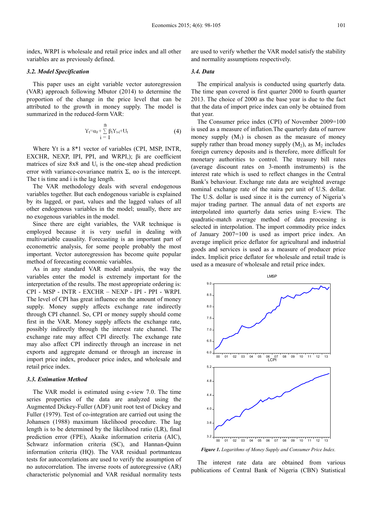index, WRPI is wholesale and retail price index and all other variables are as previously defined.

#### *3.2. Model Specification*

This paper uses an eight variable vector autoregression (VAR) approach following Mbutor (2014) to determine the proportion of the change in the price level that can be attributed to the growth in money supply. The model is summarized in the reduced-form VAR:

$$
Y_t = \alpha_0 + \sum_{i=1}^{n} \beta_i Y_{t-i} + U_t
$$
 (4)

Where Yt is a 8\*1 vector of variables (CPI, MSP, INTR, EXCHR, NEXP, IPI, PPI, and WRPI,); βi are coefficient matrices of size  $8x8$  and  $U_t$  is the one-step ahead prediction error with variance-covariance matrix  $\Sigma$ , αo is the intercept. The t is time and i is the lag length.

The VAR methodology deals with several endogenous variables together. But each endogenous variable is explained by its lagged, or past, values and the lagged values of all other endogenous variables in the model; usually, there are no exogenous variables in the model.

Since there are eight variables, the VAR technique is employed because it is very useful in dealing with multivariable causality. Forecasting is an important part of econometric analysis, for some people probably the most important. Vector autoregression has become quite popular method of forecasting economic variables.

As in any standard VAR model analysis, the way the variables enter the model is extremely important for the interpretation of the results. The most appropriate ordering is: CPI - MSP - INTR - EXCHR – NEXP - IPI - PPI - WRPI. The level of CPI has great influence on the amount of money supply. Money supply affects exchange rate indirectly through CPI channel. So, CPI or money supply should come first in the VAR. Money supply affects the exchange rate, possibly indirectly through the interest rate channel. The exchange rate may affect CPI directly. The exchange rate may also affect CPI indirectly through an increase in net exports and aggregate demand or through an increase in import price index, producer price index, and wholesale and retail price index.

#### *3.3. Estimation Method*

The VAR model is estimated using e-view 7.0. The time series properties of the data are analyzed using the Augmented Dickey-Fuller (ADF) unit root test of Dickey and Fuller (1979). Test of co-integration are carried out using the Johansen (1988) maximum likelihood procedure. The lag length is to be determined by the likelihood ratio (LR), final prediction error (FPE), Akaike information criteria (AIC), Schwarz information criteria (SC), and Hannan-Quinn information criteria (HQ). The VAR residual portmanteau tests for autocorrelations are used to verify the assumption of no autocorrelation. The inverse roots of autoregressive (AR) characteristic polynomial and VAR residual normality tests

are used to verify whether the VAR model satisfy the stability and normality assumptions respectively.

#### *3.4. Data*

The empirical analysis is conducted using quarterly data. The time span covered is first quarter 2000 to fourth quarter 2013. The choice of 2000 as the base year is due to the fact that the data of import price index can only be obtained from that year.

The Consumer price index (CPI) of November 2009=100 is used as a measure of inflation.The quarterly data of narrow money supply  $(M_1)$  is chosen as the measure of money supply rather than broad money supply  $(M_2)$ , as  $M_2$  includes foreign currency deposits and is therefore, more difficult for monetary authorities to control. The treasury bill rates (average discount rates on 3-month instruments) is the interest rate which is used to reflect changes in the Central Bank's behaviour. Exchange rate data are weighted average nominal exchange rate of the naira per unit of U.S. dollar. The U.S. dollar is used since it is the currency of Nigeria's major trading partner. The annual data of net exports are interpolated into quarterly data series using E-view. The quadratic-match average method of data processing is selected in interpolation. The import commodity price index of January 2007=100 is used as import price index. An average implicit price deflator for agricultural and industrial goods and services is used as a measure of producer price index. Implicit price deflator for wholesale and retail trade is used as a measure of wholesale and retail price index.



*Figure 1. Logarithms of Money Supply and Consumer Price Index.* 

The interest rate data are obtained from various publications of Central Bank of Nigeria (CBN) Statistical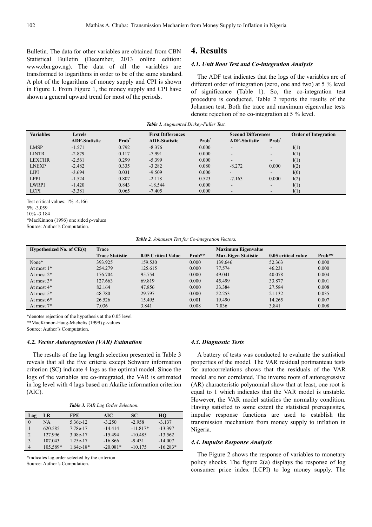Bulletin. The data for other variables are obtained from CBN Statistical Bulletin (December, 2013 online edition: www.cbn.gov.ng). The data of all the variables are transformed to logarithms in order to be of the same standard. A plot of the logarithms of money supply and CPI is shown in Figure 1. From Figure 1, the money supply and CPI have shown a general upward trend for most of the periods.

# **4. Results**

#### *4.1. Unit Root Test and Co-integration Analysis*

The ADF test indicates that the logs of the variables are of different order of integration (zero, one and two) at 5 % level of significance (Table 1). So, the co-integration test procedure is conducted. Table 2 reports the results of the Johansen test. Both the trace and maximum eigenvalue tests denote rejection of no co-integration at 5 % level.

| <b>Variables</b> | <b>Levels</b>        |                   | <b>First Differences</b> |                   | <b>Second Differences</b> |                          | <b>Order of Integration</b> |
|------------------|----------------------|-------------------|--------------------------|-------------------|---------------------------|--------------------------|-----------------------------|
|                  | <b>ADF-Statistic</b> | Prob <sup>'</sup> | <b>ADF-Statistic</b>     | Prob <sup>*</sup> | <b>ADF-Statistic</b>      | Prob <sup>*</sup>        |                             |
| <b>LMSP</b>      | $-1.571$             | 0.792             | $-8.376$                 | 0.000             | -                         | -                        | I(1)                        |
| <b>LINTR</b>     | $-2.879$             | 0.117             | $-7.991$                 | 0.000             | -                         | $\overline{\phantom{a}}$ | I(1)                        |
| <b>LEXCHR</b>    | $-2.561$             | 0.299             | $-5.399$                 | 0.000             | $\overline{\phantom{a}}$  | $\overline{\phantom{0}}$ | I(1)                        |
| <b>LNEXP</b>     | $-2.482$             | 0.335             | $-3.282$                 | 0.080             | $-8.272$                  | 0.000                    | I(2)                        |
| <b>LIPI</b>      | $-3.694$             | 0.031             | $-9.509$                 | 0.000             | $\overline{\phantom{0}}$  | $\overline{\phantom{a}}$ | I(0)                        |
| <b>LPPI</b>      | $-1.524$             | 0.807             | $-2.118$                 | 0.523             | $-7.163$                  | 0.000                    | I(2)                        |
| <b>LWRPI</b>     | $-1.420$             | 0.843             | $-18.544$                | 0.000             | $\overline{\phantom{a}}$  | $\overline{\phantom{a}}$ | I(1)                        |
| <b>LCPI</b>      | $-3.381$             | 0.065             | $-7.405$                 | 0.000             | $\overline{\phantom{a}}$  |                          | I(1)                        |
|                  |                      |                   |                          |                   |                           |                          |                             |

*Table 1. Augmented Dickey-Fuller Test.* 

Test critical values: 1% -4.166

5% -3.059

10% -3.184

\*MacKinnon (1996) one sided ρ-values

Source: Author's Computation.

*Table 2. Johansen Test for Co-integration Vectors.* 

| Hypothesized No. of $CE(s)$ | Trace                  |                     |          | <b>Maximum Eigenvalue</b>  |                     |        |
|-----------------------------|------------------------|---------------------|----------|----------------------------|---------------------|--------|
|                             | <b>Trace Statistic</b> | 0.05 Critical Value | $Prob**$ | <b>Max-Eigen Statistic</b> | 0.05 critical value | Prob** |
| None*                       | 393.925                | 159.530             | 0.000    | 139.646                    | 52.363              | 0.000  |
| At most $1*$                | 254.279                | 125.615             | 0.000    | 77.574                     | 46.231              | 0.000  |
| At most $2^*$               | 176.704                | 95.754              | 0.000    | 49.041                     | 40.078              | 0.004  |
| At most $3*$                | 127.663                | 69.819              | 0.000    | 45.499                     | 33.877              | 0.001  |
| At most $4*$                | 82.164                 | 47.856              | 0.000    | 33.384                     | 27.584              | 0.008  |
| At most $5*$                | 48.780                 | 29.797              | 0.000    | 22.253                     | 21.132              | 0.035  |
| At most $6*$                | 26.526                 | 15.495              | 0.001    | 19.490                     | 14.265              | 0.007  |
| At most $7^*$               | 7.036                  | 3.841               | 0.008    | 7.036                      | 3.841               | 0.008  |

\*denotes rejection of the hypothesis at the 0.05 level

\*\*MacKinnon-Haug-Michelis (1999) ρ-values

Source: Author's Computation.

#### *4.2. Vector Autoregression (VAR) Estimation*

The results of the lag length selection presented in Table 3 reveals that all the five criteria except Schwarz information criterion (SC) indicate 4 lags as the optimal model. Since the logs of the variables are co-integrated, the VAR is estimated in log level with 4 lags based on Akaike information criterion (AIC).

|  |  |  |  | Table 3. VAR Lag Order Selection. |
|--|--|--|--|-----------------------------------|
|--|--|--|--|-----------------------------------|

| Lag            | LR       | <b>FPE</b>  | AIC.       | SC.        | HO         |
|----------------|----------|-------------|------------|------------|------------|
|                | NA       | 5.36e-12    | $-3.250$   | $-2.958$   | $-3.137$   |
|                | 620.585  | 7.78e-17    | $-14.414$  | $-11.817*$ | $-13.397$  |
| $\overline{2}$ | 127 996  | 3.08e-17    | $-15494$   | $-10.485$  | $-13.562$  |
| $\mathbf{3}$   | 107.043  | $1.25e-17$  | $-16.866$  | $-9.431$   | $-14.007$  |
| $\overline{4}$ | 105.589* | $1.64e-18*$ | $-20.081*$ | $-10.175$  | $-16.283*$ |

\*indicates lag order selected by the criterion Source: Author's Computation.

#### *4.3. Diagnostic Tests*

A battery of tests was conducted to evaluate the statistical properties of the model. The VAR residual portmanteau tests for autocorrelations shows that the residuals of the VAR model are not correlated. The inverse roots of autoregressive (AR) characteristic polynomial show that at least, one root is equal to 1 which indicates that the VAR model is unstable. However, the VAR model satisfies the normality condition. Having satisfied to some extent the statistical prerequisites, impulse response functions are used to establish the transmission mechanism from money supply to inflation in Nigeria.

#### *4.4. Impulse Response Analysis*

The Figure 2 shows the response of variables to monetary policy shocks. The figure 2(a) displays the response of log consumer price index (LCPI) to log money supply. The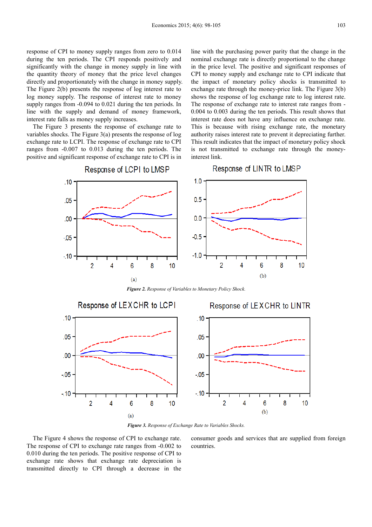response of CPI to money supply ranges from zero to 0.014 during the ten periods. The CPI responds positively and significantly with the change in money supply in line with the quantity theory of money that the price level changes directly and proportionately with the change in money supply. The Figure 2(b) presents the response of log interest rate to log money supply. The response of interest rate to money supply ranges from  $-0.094$  to 0.021 during the ten periods. In line with the supply and demand of money framework, interest rate falls as money supply increases.

The Figure 3 presents the response of exchange rate to variables shocks. The Figure 3(a) presents the response of log exchange rate to LCPI. The response of exchange rate to CPI ranges from -0.007 to 0.013 during the ten periods. The positive and significant response of exchange rate to CPI is in line with the purchasing power parity that the change in the nominal exchange rate is directly proportional to the change in the price level. The positive and significant responses of CPI to money supply and exchange rate to CPI indicate that the impact of monetary policy shocks is transmitted to exchange rate through the money-price link. The Figure 3(b) shows the response of log exchange rate to log interest rate. The response of exchange rate to interest rate ranges from - 0.004 to 0.003 during the ten periods. This result shows that interest rate does not have any influence on exchange rate. This is because with rising exchange rate, the monetary authority raises interest rate to prevent it depreciating further. This result indicates that the impact of monetary policy shock is not transmitted to exchange rate through the moneyinterest link.



*Figure 2. Response of Variables to Monetary Policy Shock.* 



*Figure 3. Response of Exchange Rate to Variables Shocks.* 

The Figure 4 shows the response of CPI to exchange rate. The response of CPI to exchange rate ranges from -0.002 to 0.010 during the ten periods. The positive response of CPI to exchange rate shows that exchange rate depreciation is transmitted directly to CPI through a decrease in the consumer goods and services that are supplied from foreign countries.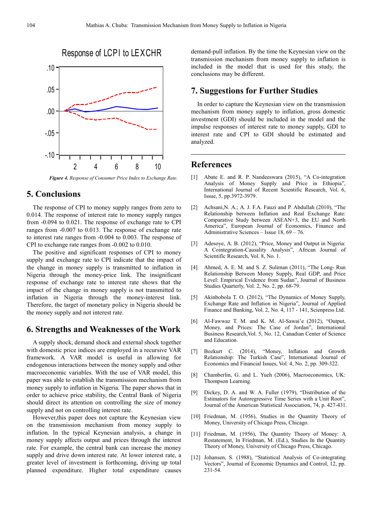

*Figure 4. Response of Consumer Price Index to Exchange Rate.*

# **5. Conclusions**

The response of CPI to money supply ranges from zero to 0.014. The response of interest rate to money supply ranges from -0.094 to 0.021. The response of exchange rate to CPI ranges from -0.007 to 0.013. The response of exchange rate to interest rate ranges from -0.004 to 0.003. The response of CPI to exchange rate ranges from -0.002 to 0.010.

The positive and significant responses of CPI to money supply and exchange rate to CPI indicate that the impact of the change in money supply is transmitted to inflation in Nigeria through the money-price link. The insignificant response of exchange rate to interest rate shows that the impact of the change in money supply is not transmitted to inflation in Nigeria through the money-interest link. Therefore, the target of monetary policy in Nigeria should be the money supply and not interest rate.

# **6. Strengths and Weaknesses of the Work**

A supply shock, demand shock and external shock together with domestic price indices are employed in a recursive VAR framework. A VAR model is useful in allowing for endogenous interactions between the money supply and other macroeconomic variables. With the use of VAR model, this paper was able to establish the transmission mechanism from money supply to inflation in Nigeria. The paper shows that in order to achieve price stability, the Central Bank of Nigeria should direct its attention on controlling the size of money supply and not on controlling interest rate.

However,this paper does not capture the Keynesian view on the transmission mechanism from money supply to inflation. In the typical Keynesian analysis, a change in money supply affects output and prices through the interest rate. For example, the central bank can increase the money supply and drive down interest rate. At lower interest rate, a greater level of investment is forthcoming, driving up total planned expenditure. Higher total expenditure causes demand-pull inflation. By the time the Keynesian view on the transmission mechanism from money supply to inflation is included in the model that is used for this study, the conclusions may be different.

# **7. Suggestions for Further Studies**

In order to capture the Keynesian view on the transmission mechanism from money supply to inflation, gross domestic investment (GDI) should be included in the model and the impulse responses of interest rate to money supply, GDI to interest rate and CPI to GDI should be estimated and analyzed.

### **References**

- [1] Abate E. and R. P. Nandeeswara (2015), "A Co-integration Analysis of Money Supply and Price in Ethiopia", International Journal of Recent Scientific Research, Vol. 6, Issue, 5, pp.3972-3979.
- [2] Achsani,N. A.; A. J. F.A. Fauzi and P. Abdullah (2010), "The Relationship between Inflation and Real Exchange Rate: Comparative Study between ASEAN+3, the EU and North America", European Journal of Economics, Finance and Administrative Sciences – Issue 18, 69 – 76.
- [3] Adesoye, A. B. (2012), "Price, Money and Output in Nigeria: A Cointegration-Causality Analysis", African Journal of Scientific Research, Vol. 8, No. 1.
- [4] Ahmed, A. E. M. and S. Z. Suliman (2011), "The Long- Run Relationship Between Money Supply, Real GDP, and Price Level: Empirical Evidence from Sudan", Journal of Business Studies Quarterly, Vol. 2, No. 2, pp. 68-79.
- [5] Akinbobola T. O. (2012), "The Dynamics of Money Supply, Exchange Rate and Inflation in Nigeria", Journal of Applied Finance and Banking, Vol. 2, No. 4, 117 - 141, Scienpress Ltd.
- [6] Al-Fawwaz T. M. and K. M. Al-Sawai'e (2012), "Output, Money, and Prices: The Case of Jordan", International Business Research,Vol. 5, No. 12, Canadian Center of Science and Education.
- [7] Bozkurt C. (2014), "Money, Inflation and Growth Relationship: The Turkish Case", International Journal of Economics and Financial Issues, Vol. 4, No. 2, pp. 309-322.
- [8] Chamberlin, G. and L. Yueh (2006), Macroeconomics, UK: Thompson Learning.
- [9] Dickey, D. A. and W. A. Fuller (1979), "Distribution of the Estimators for Autoregressive Time Series with a Unit Root", Journal of the American Statistical Association, 74, p. 427-431.
- [10] Friedman, M. (1956), Studies in the Quantity Theory of Money, University of Chicago Press, Chicago.
- [11] Friedman, M. (1956), The Quantity Theory of Money: A Restatement, In Friedman, M. (Ed.), Studies In the Quantity Theory of Money, University of Chicago Press, Chicago.
- [12] Johansen, S. (1988), "Statistical Analysis of Co-integrating Vectors", Journal of Economic Dynamics and Control, 12, pp. 231-54.